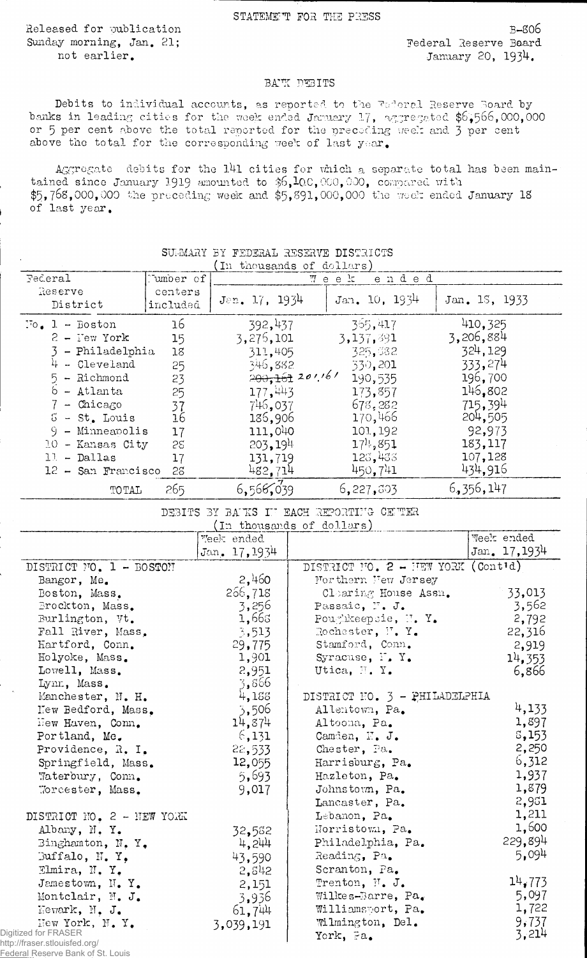STATEMENT FOR THE PRESS

Released for publication Sunday morning, Jan. 21; not earlier.

Fed

 $3 - 806$ Federal Reserve Board January 20, 1934.

## BATK DEBITS

Debits to individual accounts, as reported to the Federal Reserve Board by banks in leading cities for the week ended January 17, aggregated \$6,566,000,000 or 5 per cent above the total reported for the preceding week and 3 per cent above the total for the corresponding week of last year.

Aggregate debits for the 141 cities for which a separate total has been maintained since January 1919 amounted to \$6,100,000,000, compared with  $$5,768,000,000$  the preceding week and  $$5,891,000,000$  the week ended January 18 of last year.

|                                        |           | In thousands of dollars)  |                   |                                          |             |               |
|----------------------------------------|-----------|---------------------------|-------------------|------------------------------------------|-------------|---------------|
| Federal                                | Tumber of |                           | Week              | ended                                    |             |               |
| Reserve                                | centers   |                           |                   | Jan. $10, 1934$                          |             |               |
| District                               | included  | $J\text{en. } 17, 1934$   |                   |                                          |             | Jan. 1S, 1933 |
| $To$ , $1 - Boston$                    | 16        | 392,437                   |                   | 365,417                                  |             | 410,325       |
| $2 - \text{I'ew York}$                 | 15        | 3,276,101                 |                   | 3,137,391                                | 3,206,884   |               |
| 3 - Philadelphia                       | 18        | 311,405                   |                   | 325,382                                  |             | 324,129       |
| $4 - Cleveland$                        |           |                           |                   |                                          |             | 333,274       |
|                                        | 25        | 346,882                   | $200,161$ 201.161 | 330,201                                  |             |               |
| 5 - Richmond                           | 23        |                           |                   | 190,535                                  |             | 196,700       |
| $6 -$ Atlanta                          | 25        | 177,443                   |                   | 173,857                                  |             | 146,802       |
| $7$ - Chicago                          | 37        | 746,037                   |                   | 678,282                                  |             | 715,394       |
| $5 - st$ . Louis                       | 16        | 136,906                   |                   | 170,466                                  |             | 204,505       |
| $9 -$ Minneapolis                      | 17        | 111,040                   |                   | 101,192                                  |             | 92,973        |
| 10 - Kansas City                       | 52        | 203, 194                  |                   | $1711$ , 851                             |             | 183,117       |
| $1!$ - Dallas                          | 17        | 131,719                   |                   | 123,433                                  |             | 107,128       |
| $12$ - San Francisco                   | 28        | 482,714                   |                   | 450,741                                  |             | 434,916       |
| TOTAL                                  | 265       | 6,566,039                 |                   | 6,227,303                                | 6, 356, 147 |               |
|                                        |           |                           |                   | DEBITS BY BAUKS IN EACH REPORTING CENTER |             |               |
|                                        |           | (In thousands of dollars) |                   |                                          |             |               |
|                                        |           | Week ended                |                   |                                          |             | Week ended    |
|                                        |           | Jan. 17, 1934             |                   |                                          |             | Jan. 17, 1934 |
| DISTRICT NO. 1 - BOSTON                |           |                           |                   | DISTRICT NO. 2 - HEW YORK (Contid)       |             |               |
| Bangor, Me.                            |           | 2,460                     |                   | Morthern New Jersey                      |             |               |
| Boston, Mass.                          |           | 256,718                   |                   | Clearing House Assn.                     |             | 33,013        |
| Brockton, Mass.                        |           | 3,256                     |                   | Passaic, F. J.                           |             | 3,562         |
| Burlington, Vt.                        |           | 1,668                     |                   | Poughkeepsie, N.Y.                       |             | 2,792         |
| Fall River, Mass,                      |           | 3,513                     |                   | Rochester, F. Y.                         |             | 22,316        |
| Hartford, Conn.                        |           | 29,775                    |                   | Stamford, Conn.                          |             | 2,919         |
| Holyoke, Mass.                         |           | 1,901                     |                   | Syracuse, F.Y.                           |             | 14,353        |
| Lowell, Mass.                          |           | 2,951                     |                   | Utica, N.Y.                              |             | 6,866         |
| Lynn, Mass.                            |           | 3,866                     |                   |                                          |             |               |
| Manchester, N. H.                      |           | 4,188                     |                   | DISTRICT NO. 3 - PHILADELPHIA            |             |               |
| New Bedford, Mass.                     |           | 3,506                     |                   | Allentown, Pa.                           |             | 4,133         |
| Hew Haven, Conn.                       |           | 14,874                    |                   | Altoona, Pa.                             |             | 1,897         |
| Portland, Me.                          |           | 6,131                     |                   | Camden, N. J.                            |             | 5,153         |
| Providence, R. I.                      |           | 22,533                    |                   | Chester, Pa.                             |             | 2,250         |
| Springfield, Mass.                     |           | 12,055                    |                   | Harrisburg, Pa.                          |             | 6,312         |
| Waterbury, Conn.                       |           | 5,693                     |                   | Hazleton, Pa.                            |             | 1,937         |
| Worcester, Mass.                       |           | 9,017                     |                   | Johnstown, Pa.                           |             | 1,879         |
|                                        |           |                           |                   | Lancaster, Pa.                           |             | 2,951         |
| DISTRICT NO. 2 - NEW YORK              |           |                           |                   | Lebanon, Pa.                             |             | 1,211         |
| Albany, N.Y.                           |           | 32,552                    |                   | Norristown, Pa.                          |             | 1,600         |
| Binghamton, N.Y.                       |           | 4,244                     |                   | Philadelphia, Pa.                        |             | 229,894       |
| Buffalo, N.Y.                          |           | 43,590                    |                   | Reading, Pa.                             |             | 5,094         |
| Elmira, N.Y.                           |           | 2, 542                    |                   | Scranton, Pa.                            |             |               |
| Jamestown, N.Y.                        |           |                           |                   | Trenton, N. J.                           |             | 14,773        |
| Montclair, N. J.                       |           | 2,151                     |                   | Wilkes-Barre, $Pa_{\bullet}$             |             | 5,097         |
|                                        |           | 3,936                     |                   | Williamsport, Pa.                        |             | 1,722         |
| Newark, N. J.                          |           | 61,744                    |                   | Wilmington, Del.                         |             | 9,737         |
| Hew York, N.Y.<br>Digitized for FRASER |           | 3,039,191                 |                   | York, Fa.                                |             | 3,214         |
| http://fraser.stlouisfed.org/          |           |                           |                   |                                          |             |               |
| Federal Reserve Bank of St Louis       |           |                           |                   |                                          |             |               |

## SUMMARY BY FEDERAL RESERVE DISTRICTS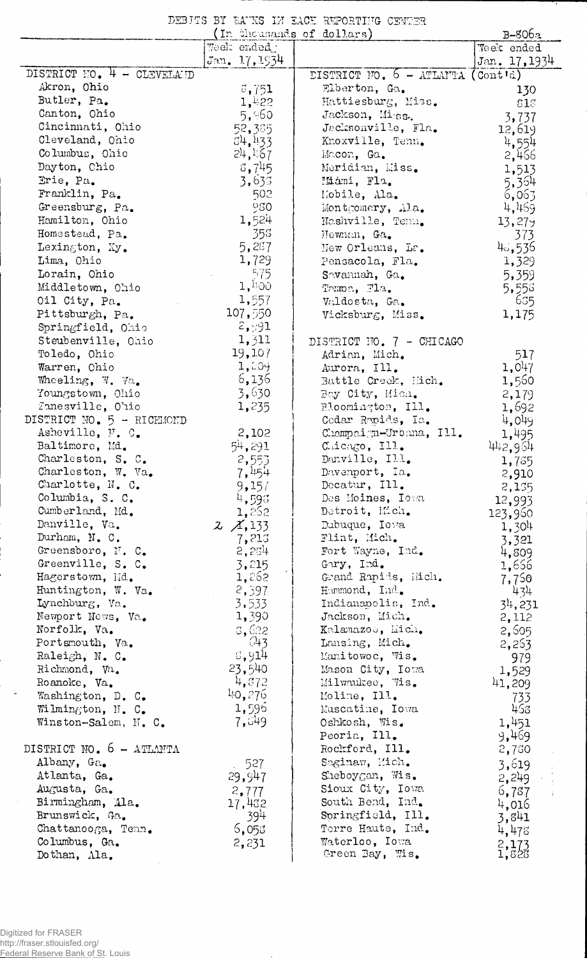DEBITS BY BA'KS IN EACH REPORTING CENTER

|                                     | (In thousands of dollars) |                                                  | $B-806a$                |
|-------------------------------------|---------------------------|--------------------------------------------------|-------------------------|
|                                     | Week ended:               |                                                  | Week ended              |
|                                     | Jan. 17, 1934             |                                                  | Jan. 17, 1934           |
| DISTRICT NO. 4 - CLEVELAND          |                           | DISTRICT FO. $6 - \text{ATLMTA} (\text{Contid})$ |                         |
| Akron, Ohio                         | 3,751                     | Elberton, Ga.                                    | 130                     |
| Butler, Pa.                         | 1,422                     | Hattiesburg, Miss.                               | 818                     |
| Canton, Ohio                        | 5,960                     | Jackson, Miss.                                   | 3,737                   |
| Cincinnati, Ohio                    | 52,385                    | Jacksonville, Fla.                               | 12,619                  |
| Cleveland, Ohio                     | 54,433                    | Knoxville, Tenn.                                 | 4,554                   |
| Columbus, Ohio                      | 24,167                    | Macon, Ga.                                       | 2,466                   |
| Dayton, Chio<br>Brie, Pa.           | 5,745                     | Meridian, Miss.                                  | 1,513                   |
| Franklin, Pa.                       | 3,635<br>502              | Miáni, Fla.                                      | 5,364                   |
| Greensburg, Pa.                     | 980                       | Mobile, Ala.<br>Montgomery, Ala.                 | 6,063<br>4,469          |
| Hamilton, Ohio                      | 1,524                     | Nashville, Tenn.                                 | 13,27                   |
| Homestead, Pa.                      | 355                       | Hewnan, Ga.                                      | 373                     |
| Lexington, Ky.                      | 5,287                     | New Orleans, La.                                 | 46,536                  |
| Lima, Ohio                          | 1,729                     | Pensacola, Fla.                                  | 1,329                   |
| Lorain, Ohio                        | 575                       | Savannah, Ga.                                    | 5,359                   |
| Middletown, Ohio                    | 1,100                     | Tampa, Fla.                                      | 5,558                   |
| Oil City, Pa.                       | 1,557                     | Valdosta, Ga.                                    | 635                     |
| Pittsburgh, Pa.                     | 107,550                   | Vicksburg, Miss.                                 | 1,175                   |
| Springfield, Ohio                   | 2,91                      |                                                  |                         |
| Steubenville, Ohio                  | 1,311                     | DISTRICT NO. 7 - CHICAGO                         |                         |
| Toledo, Ohio                        | 19,107                    | Adrian, Mich.                                    | 517                     |
| Warren, Ohio                        | 1,209                     | Aurora, Ill.                                     | 1,047                   |
| Wheeling, W. Va.                    | 6,136                     | Battle Creck, Hich.                              | 1,560                   |
| Youngstown, Ohio                    | 3,630                     | Bay City, Mich.                                  | 2,179                   |
| Zanesville, Ohio                    | 1,235                     | Bloomington, III.                                | 1,692                   |
| DISTRICT NO. 5 - RICHMOND           |                           | Codar Ropids, Ia.                                | 4,049                   |
| Asheville, F. C.                    | 2,102                     | Champaign-Urbana, Ill.                           | 1,495                   |
| Baltimore, Md.                      | 54,291                    | Chicago, Ill.                                    | 442,964                 |
| Charleston, S. C.                   | 2,553                     | Danville, Ill.                                   | 1,785                   |
| Charleston, W. Va.                  | 7,454                     | Davenport, Ia.                                   | 2,910                   |
| Charlotte, N. C.<br>Columbia, S. C. | 9,157                     | Decatur, Ill.<br>Des Moines, Iova                | 2,155                   |
| Cumberland, Md.                     | 4,596<br>1,262            | Detroit, Mich.                                   | 12,993                  |
| Danville, Va.                       | $2 \times 133$            | Dubuque, Iova                                    | 123,960                 |
| Durham, N. C.                       | 7,213                     | Flint, Mich.                                     | 1,304                   |
| Greensboro, N. C.                   | 2,254                     | Fort Wayne, Ind.                                 | 3,321<br>4,809          |
| Greenville, S. C.                   | 3,215                     | Gary, Ind.                                       | 1,656                   |
| Hagerstown, Md.                     | 1,262                     | Grand Ropids, Mich.                              | 7,750                   |
| Huntington, W. Va.                  | 2,397                     | Hummond, Ind.                                    | 434                     |
| Lynchburg, Va.                      | 3,533                     | Indianapolis, Ind.                               | $3^{14}$ , 231          |
| Newport News, Va.                   | 1,390                     | Jackson, Mich.                                   | 2,112                   |
| Norfolk, Va.                        | 3,622                     | Kalamazoo, Mich.                                 | 2,605                   |
| Portsmouth, Va.                     | 643                       | Lansing, Mich.                                   | 2,253                   |
| Raleigh, N. C.                      | 3,914                     | Manitowoc, Wis.                                  | 979                     |
| Richmond, Va.                       | 23,540                    | Mason City, Iowa                                 | 1,529                   |
| Roanoke, Va.                        | 4,872                     | Milwaukee, Wis.                                  | 41,209                  |
| Washington, D. C.                   | 40,276                    | Moline, Ill.                                     | 733                     |
| Wilmington, N. C.                   | 1,596                     | Muscatine, Iowa                                  | 453                     |
| Winston-Salem, N. C.                | 7,549                     | Oshkosh, Wis.                                    | 1,451                   |
| DISTRICT NO. 6 - ATLANTA            |                           | Peoria, Ill.                                     | 9,469                   |
| Albany, Ga.                         |                           | Rockford, Ill.<br>Saginaw, Hich.                 | 2,750                   |
| Atlanta, Ga.                        | 527<br>29,947             | Sheboygan, Wis.                                  | 3,619                   |
| Augusta, Ga.                        |                           | Sioux City, Iowa                                 | 2,249                   |
| Birmingham, Ala.                    | 2,777<br>17,432           | South Bend, Ind.                                 | 6,787<br>$\mathbb{R}^2$ |
| Brunswick, Ga.                      | 394                       | Springfield, Ill.                                | 4,016<br>3,841          |
| Chattanooga, Tenn.                  | 6,053                     | Terre Haute, Ind.                                | 4,478                   |
| Columbus, Ga.                       | 2,231                     | Waterloo, Iowa                                   |                         |
| Dothan, Ala.                        |                           | Green Bay, Wis.                                  | $^{2,173}_{1,823}$      |

Digitized for FRASER http://fraser.stlouisfed.org/ Federal Reserve Bank of St. Louis

 $\sim$